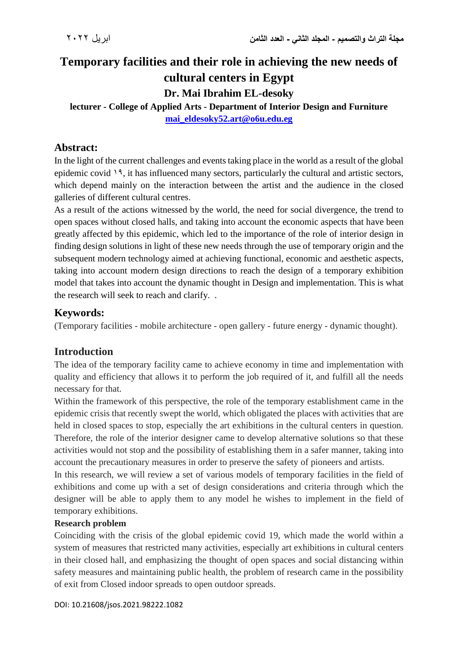# **Temporary facilities and their role in achieving the new needs of cultural centers in Egypt Dr. Mai Ibrahim EL-desoky**

**lecturer - College of Applied Arts - Department of Interior Design and Furniture [mai\\_eldesoky52.art@o6u.edu.eg](mailto:mai_eldesoky52.art@o6u.edu.eg)**

### **Abstract:**

In the light of the current challenges and events taking place in the world as a result of the global epidemic covid 19, it has influenced many sectors, particularly the cultural and artistic sectors, which depend mainly on the interaction between the artist and the audience in the closed galleries of different cultural centres.

As a result of the actions witnessed by the world, the need for social divergence, the trend to open spaces without closed halls, and taking into account the economic aspects that have been greatly affected by this epidemic, which led to the importance of the role of interior design in finding design solutions in light of these new needs through the use of temporary origin and the subsequent modern technology aimed at achieving functional, economic and aesthetic aspects, taking into account modern design directions to reach the design of a temporary exhibition model that takes into account the dynamic thought in Design and implementation. This is what the research will seek to reach and clarify. .

### **Keywords:**

(Temporary facilities - mobile architecture - open gallery - future energy - dynamic thought).

### **Introduction**

The idea of the temporary facility came to achieve economy in time and implementation with quality and efficiency that allows it to perform the job required of it, and fulfill all the needs necessary for that.

Within the framework of this perspective, the role of the temporary establishment came in the epidemic crisis that recently swept the world, which obligated the places with activities that are held in closed spaces to stop, especially the art exhibitions in the cultural centers in question. Therefore, the role of the interior designer came to develop alternative solutions so that these activities would not stop and the possibility of establishing them in a safer manner, taking into account the precautionary measures in order to preserve the safety of pioneers and artists.

In this research, we will review a set of various models of temporary facilities in the field of exhibitions and come up with a set of design considerations and criteria through which the designer will be able to apply them to any model he wishes to implement in the field of temporary exhibitions.

### **Research problem**

Coinciding with the crisis of the global epidemic covid 19, which made the world within a system of measures that restricted many activities, especially art exhibitions in cultural centers in their closed hall, and emphasizing the thought of open spaces and social distancing within safety measures and maintaining public health, the problem of research came in the possibility of exit from Closed indoor spreads to open outdoor spreads.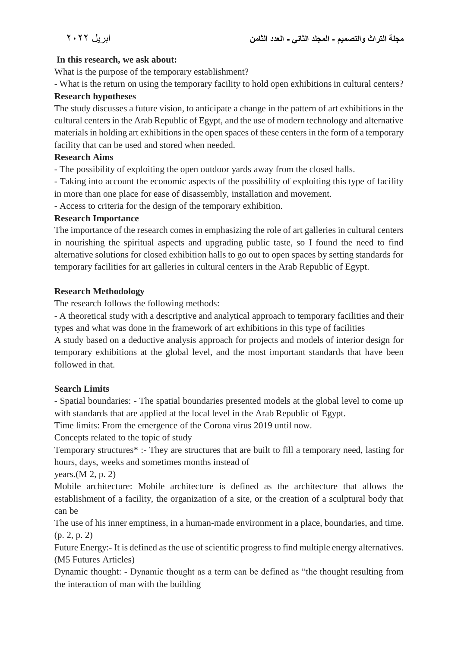#### **In this research, we ask about:**

What is the purpose of the temporary establishment?

- What is the return on using the temporary facility to hold open exhibitions in cultural centers?

#### **Research hypotheses**

The study discusses a future vision, to anticipate a change in the pattern of art exhibitions in the cultural centers in the Arab Republic of Egypt, and the use of modern technology and alternative materials in holding art exhibitions in the open spaces of these centers in the form of a temporary facility that can be used and stored when needed.

#### **Research Aims**

- The possibility of exploiting the open outdoor yards away from the closed halls.

- Taking into account the economic aspects of the possibility of exploiting this type of facility in more than one place for ease of disassembly, installation and movement.

- Access to criteria for the design of the temporary exhibition.

#### **Research Importance**

The importance of the research comes in emphasizing the role of art galleries in cultural centers in nourishing the spiritual aspects and upgrading public taste, so I found the need to find alternative solutions for closed exhibition halls to go out to open spaces by setting standards for temporary facilities for art galleries in cultural centers in the Arab Republic of Egypt.

#### **Research Methodology**

The research follows the following methods:

- A theoretical study with a descriptive and analytical approach to temporary facilities and their types and what was done in the framework of art exhibitions in this type of facilities

A study based on a deductive analysis approach for projects and models of interior design for temporary exhibitions at the global level, and the most important standards that have been followed in that.

### **Search Limits**

- Spatial boundaries: - The spatial boundaries presented models at the global level to come up with standards that are applied at the local level in the Arab Republic of Egypt.

Time limits: From the emergence of the Corona virus 2019 until now.

Concepts related to the topic of study

Temporary structures\* :- They are structures that are built to fill a temporary need, lasting for hours, days, weeks and sometimes months instead of

years.(M 2, p. 2)

Mobile architecture: Mobile architecture is defined as the architecture that allows the establishment of a facility, the organization of a site, or the creation of a sculptural body that can be

The use of his inner emptiness, in a human-made environment in a place, boundaries, and time. (p. 2, p. 2)

Future Energy:- It is defined as the use of scientific progress to find multiple energy alternatives. (M5 Futures Articles)

Dynamic thought: - Dynamic thought as a term can be defined as "the thought resulting from the interaction of man with the building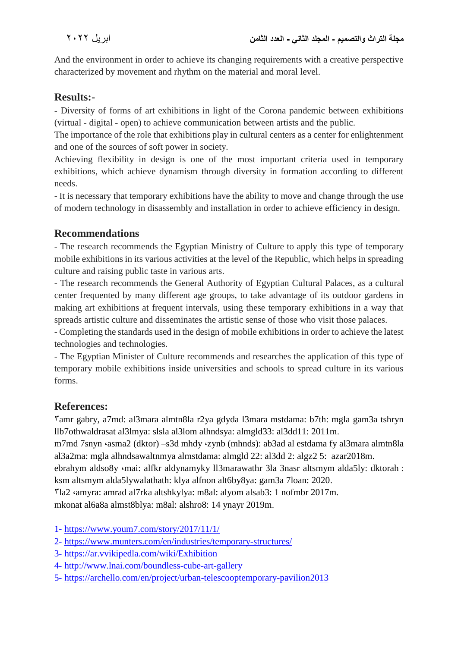And the environment in order to achieve its changing requirements with a creative perspective characterized by movement and rhythm on the material and moral level.

## **Results:-**

- Diversity of forms of art exhibitions in light of the Corona pandemic between exhibitions (virtual - digital - open) to achieve communication between artists and the public.

The importance of the role that exhibitions play in cultural centers as a center for enlightenment and one of the sources of soft power in society.

Achieving flexibility in design is one of the most important criteria used in temporary exhibitions, which achieve dynamism through diversity in formation according to different needs.

- It is necessary that temporary exhibitions have the ability to move and change through the use of modern technology in disassembly and installation in order to achieve efficiency in design.

### **Recommendations**

- The research recommends the Egyptian Ministry of Culture to apply this type of temporary mobile exhibitions in its various activities at the level of the Republic, which helps in spreading culture and raising public taste in various arts.

- The research recommends the General Authority of Egyptian Cultural Palaces, as a cultural center frequented by many different age groups, to take advantage of its outdoor gardens in making art exhibitions at frequent intervals, using these temporary exhibitions in a way that spreads artistic culture and disseminates the artistic sense of those who visit those palaces.

- Completing the standards used in the design of mobile exhibitions in order to achieve the latest technologies and technologies.

- The Egyptian Minister of Culture recommends and researches the application of this type of temporary mobile exhibitions inside universities and schools to spread culture in its various forms.

# **References:**

3amr gabry, a7md: al3mara almtn8la r2ya gdyda l3mara mstdama: b7th: mgla gam3a tshryn llb7othwaldrasat al3lmya: slsla al3lom alhndsya: almgld33: al3dd11: 2011m.

m7md 7snyn ،asma2 (dktor) –s3d mhdy ،zynb (mhnds): ab3ad al estdama fy al3mara almtn8la al3a2ma: mgla alhndsawaltnmya almstdama: almgld 22: al3dd 2: algz2 5: azar2018m.

ebrahym aldso8y ،mai: alfkr aldynamyky ll3marawathr 3la 3nasr altsmym alda5ly: dktorah : ksm altsmym alda5lywalathath: klya alfnon alt6by8ya: gam3a 7loan: 2020.

3la2 ،amyra: amrad al7rka altshkylya: m8al: alyom alsab3: 1 nofmbr 2017m.

mkonat al6a8a almst8blya: m8al: alshro8: 14 ynayr 2019m.

1- <https://www.youm7.com/story/2017/11/1/>

- 2- <https://www.munters.com/en/industries/temporary-structures/>
- 3- <https://ar.vvikipedla.com/wiki/Exhibition>
- 4- <http://www.lnai.com/boundless-cube-art-gallery>
- 5- [https://archello.com/en/project/urban-telescooptemporary-pavilion2](https://archello.com/en/project/urban-telescooptemporary-pavilion)013